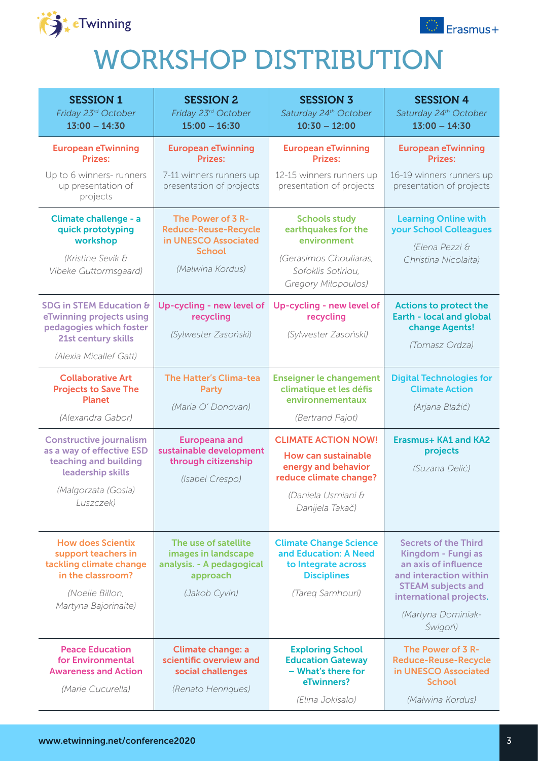



## WORKSHOP DISTRIBUTION

| <b>SESSION 1</b><br>Friday 23rd October<br>$13:00 - 14:30$                                                                                    | <b>SESSION 2</b><br>Friday 23rd October<br>$15:00 - 16:30$                                                    | <b>SESSION 3</b><br>Saturday 24th October<br>$10:30 - 12:00$                                                                                | <b>SESSION 4</b><br>Saturday 24th October<br>$13:00 - 14:30$                                                                                                                                 |
|-----------------------------------------------------------------------------------------------------------------------------------------------|---------------------------------------------------------------------------------------------------------------|---------------------------------------------------------------------------------------------------------------------------------------------|----------------------------------------------------------------------------------------------------------------------------------------------------------------------------------------------|
| <b>European eTwinning</b><br><b>Prizes:</b><br>Up to 6 winners- runners<br>up presentation of<br>projects                                     | <b>European eTwinning</b><br><b>Prizes:</b><br>7-11 winners runners up<br>presentation of projects            | <b>European eTwinning</b><br><b>Prizes:</b><br>12-15 winners runners up<br>presentation of projects                                         | <b>European eTwinning</b><br><b>Prizes:</b><br>16-19 winners runners up<br>presentation of projects                                                                                          |
| Climate challenge - a<br>quick prototyping<br>workshop<br>(Kristine Sevik &<br>Vibeke Guttormsgaard)                                          | The Power of 3 R-<br><b>Reduce-Reuse-Recycle</b><br>in UNESCO Associated<br><b>School</b><br>(Malwina Kordus) | <b>Schools study</b><br>earthquakes for the<br>environment<br>(Gerasimos Chouliaras,<br>Sofoklis Sotiriou,<br><b>Gregory Milopoulos)</b>    | <b>Learning Online with</b><br>your School Colleagues<br>(Elena Pezzi &<br>Christina Nicolaita)                                                                                              |
| <b>SDG in STEM Education &amp;</b><br>eTwinning projects using<br>pedagogies which foster<br>21st century skills<br>(Alexia Micallef Gatt)    | Up-cycling - new level of<br>recycling<br>(Sylwester Zasoński)                                                | Up-cycling - new level of<br>recycling<br>(Sylwester Zasoński)                                                                              | <b>Actions to protect the</b><br><b>Earth - local and global</b><br>change Agents!<br>(Tomasz Ordza)                                                                                         |
| <b>Collaborative Art</b><br><b>Projects to Save The</b><br><b>Planet</b><br>(Alexandra Gabor)                                                 | <b>The Hatter's Clima-tea</b><br><b>Party</b><br>(Maria O' Donovan)                                           | <b>Enseigner le changement</b><br>climatique et les défis<br>environnementaux<br>(Bertrand Pajot)                                           | <b>Digital Technologies for</b><br><b>Climate Action</b><br>(Arjana Blažić)                                                                                                                  |
| <b>Constructive journalism</b><br>as a way of effective ESD<br>teaching and building<br>leadership skills<br>(Malgorzata (Gosia)<br>Luszczek) | <b>Europeana and</b><br>sustainable development<br>through citizenship<br>(Isabel Crespo)                     | <b>CLIMATE ACTION NOW!</b><br>How can sustainable<br>energy and behavior<br>reduce climate change?<br>(Daniela Usmiani &<br>Danijela Takač) | <b>Erasmus+ KA1 and KA2</b><br>projects<br>(Suzana Delić)                                                                                                                                    |
| <b>How does Scientix</b><br>support teachers in<br>tackling climate change<br>in the classroom?<br>(Noelle Billon,<br>Martyna Bajorinaite)    | The use of satellite<br>images in landscape<br>analysis. - A pedagogical<br>approach<br>(Jakob Cyvin)         | <b>Climate Change Science</b><br>and Education: A Need<br>to Integrate across<br><b>Disciplines</b><br>(Tareq Samhouri)                     | <b>Secrets of the Third</b><br>Kingdom - Fungi as<br>an axis of influence<br>and interaction within<br><b>STEAM subjects and</b><br>international projects.<br>(Martyna Dominiak-<br>Świgoń) |
| <b>Peace Education</b><br>for Environmental<br><b>Awareness and Action</b><br>(Marie Cucurella)                                               | <b>Climate change: a</b><br>scientific overview and<br>social challenges<br>(Renato Henriques)                | <b>Exploring School</b><br><b>Education Gateway</b><br>- What's there for<br>eTwinners?<br>(Elina Jokisalo)                                 | The Power of 3 R-<br><b>Reduce-Reuse-Recycle</b><br>in UNESCO Associated<br><b>School</b><br>(Malwina Kordus)                                                                                |